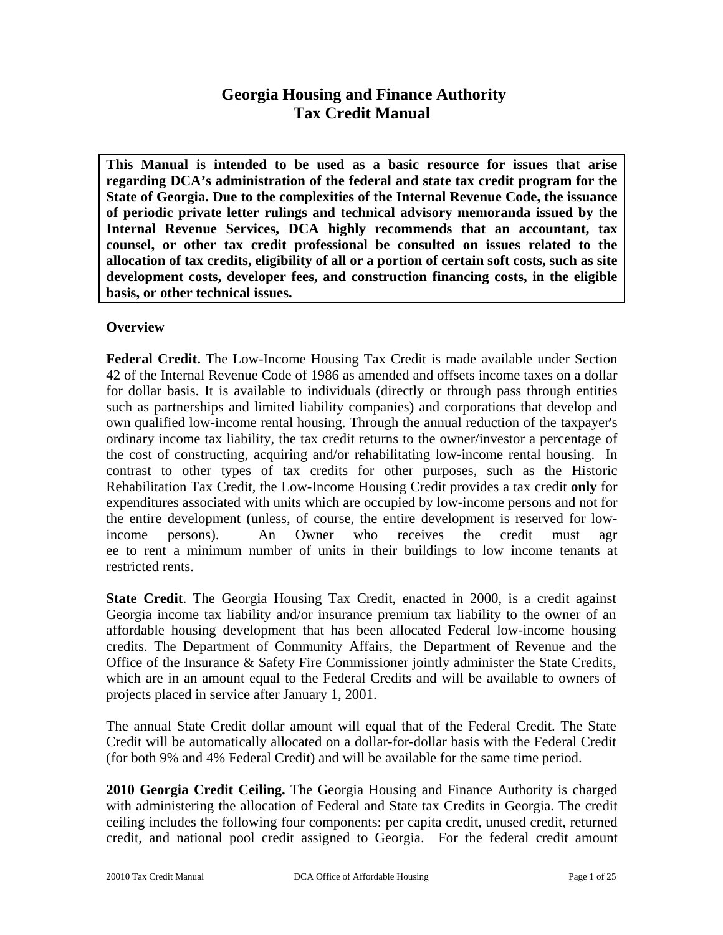# **Georgia Housing and Finance Authority Tax Credit Manual**

**This Manual is intended to be used as a basic resource for issues that arise regarding DCA's administration of the federal and state tax credit program for the State of Georgia. Due to the complexities of the Internal Revenue Code, the issuance of periodic private letter rulings and technical advisory memoranda issued by the Internal Revenue Services, DCA highly recommends that an accountant, tax counsel, or other tax credit professional be consulted on issues related to the allocation of tax credits, eligibility of all or a portion of certain soft costs, such as site development costs, developer fees, and construction financing costs, in the eligible basis, or other technical issues.** 

## **Overview**

**Federal Credit.** The Low-Income Housing Tax Credit is made available under Section 42 of the Internal Revenue Code of 1986 as amended and offsets income taxes on a dollar for dollar basis. It is available to individuals (directly or through pass through entities such as partnerships and limited liability companies) and corporations that develop and own qualified low-income rental housing. Through the annual reduction of the taxpayer's ordinary income tax liability, the tax credit returns to the owner/investor a percentage of the cost of constructing, acquiring and/or rehabilitating low-income rental housing. In contrast to other types of tax credits for other purposes, such as the Historic Rehabilitation Tax Credit, the Low-Income Housing Credit provides a tax credit **only** for expenditures associated with units which are occupied by low-income persons and not for the entire development (unless, of course, the entire development is reserved for lowincome persons). An Owner who receives the credit must agr ee to rent a minimum number of units in their buildings to low income tenants at restricted rents.

**State Credit**. The Georgia Housing Tax Credit, enacted in 2000, is a credit against Georgia income tax liability and/or insurance premium tax liability to the owner of an affordable housing development that has been allocated Federal low-income housing credits. The Department of Community Affairs, the Department of Revenue and the Office of the Insurance & Safety Fire Commissioner jointly administer the State Credits, which are in an amount equal to the Federal Credits and will be available to owners of projects placed in service after January 1, 2001.

The annual State Credit dollar amount will equal that of the Federal Credit. The State Credit will be automatically allocated on a dollar-for-dollar basis with the Federal Credit (for both 9% and 4% Federal Credit) and will be available for the same time period.

**2010 Georgia Credit Ceiling.** The Georgia Housing and Finance Authority is charged with administering the allocation of Federal and State tax Credits in Georgia. The credit ceiling includes the following four components: per capita credit, unused credit, returned credit, and national pool credit assigned to Georgia. For the federal credit amount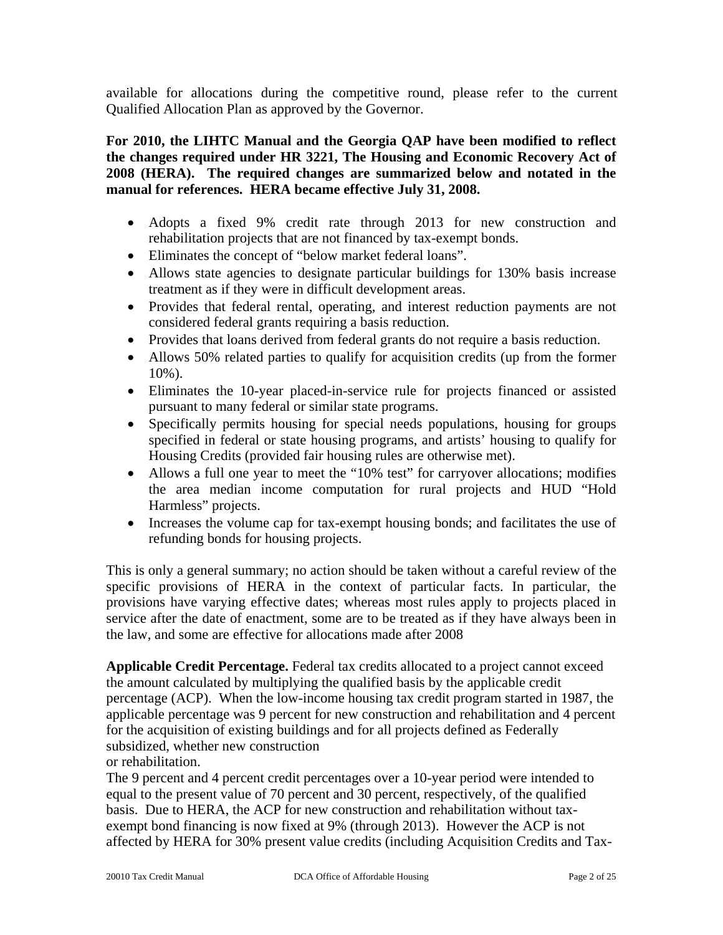available for allocations during the competitive round, please refer to the current Qualified Allocation Plan as approved by the Governor.

**For 2010, the LIHTC Manual and the Georgia QAP have been modified to reflect the changes required under HR 3221, The Housing and Economic Recovery Act of 2008 (HERA). The required changes are summarized below and notated in the manual for references. HERA became effective July 31, 2008.** 

- Adopts a fixed 9% credit rate through 2013 for new construction and rehabilitation projects that are not financed by tax-exempt bonds.
- Eliminates the concept of "below market federal loans".
- Allows state agencies to designate particular buildings for 130% basis increase treatment as if they were in difficult development areas.
- Provides that federal rental, operating, and interest reduction payments are not considered federal grants requiring a basis reduction.
- Provides that loans derived from federal grants do not require a basis reduction.
- Allows 50% related parties to qualify for acquisition credits (up from the former 10%).
- Eliminates the 10-year placed-in-service rule for projects financed or assisted pursuant to many federal or similar state programs.
- Specifically permits housing for special needs populations, housing for groups specified in federal or state housing programs, and artists' housing to qualify for Housing Credits (provided fair housing rules are otherwise met).
- Allows a full one year to meet the "10% test" for carryover allocations; modifies the area median income computation for rural projects and HUD "Hold Harmless" projects.
- Increases the volume cap for tax-exempt housing bonds; and facilitates the use of refunding bonds for housing projects.

This is only a general summary; no action should be taken without a careful review of the specific provisions of HERA in the context of particular facts. In particular, the provisions have varying effective dates; whereas most rules apply to projects placed in service after the date of enactment, some are to be treated as if they have always been in the law, and some are effective for allocations made after 2008

**Applicable Credit Percentage.** Federal tax credits allocated to a project cannot exceed the amount calculated by multiplying the qualified basis by the applicable credit percentage (ACP). When the low-income housing tax credit program started in 1987, the applicable percentage was 9 percent for new construction and rehabilitation and 4 percent for the acquisition of existing buildings and for all projects defined as Federally subsidized, whether new construction

# or rehabilitation.

The 9 percent and 4 percent credit percentages over a 10-year period were intended to equal to the present value of 70 percent and 30 percent, respectively, of the qualified basis. Due to HERA, the ACP for new construction and rehabilitation without taxexempt bond financing is now fixed at 9% (through 2013). However the ACP is not affected by HERA for 30% present value credits (including Acquisition Credits and Tax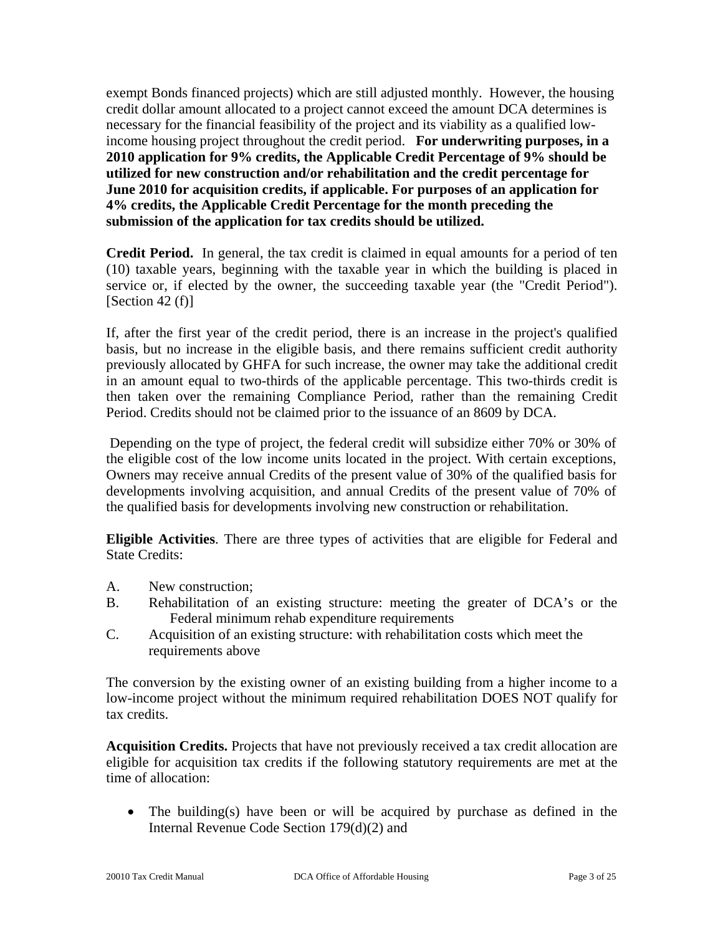exempt Bonds financed projects) which are still adjusted monthly. However, the housing credit dollar amount allocated to a project cannot exceed the amount DCA determines is necessary for the financial feasibility of the project and its viability as a qualified lowincome housing project throughout the credit period. **For underwriting purposes, in a 2010 application for 9% credits, the Applicable Credit Percentage of 9% should be utilized for new construction and/or rehabilitation and the credit percentage for June 2010 for acquisition credits, if applicable. For purposes of an application for 4% credits, the Applicable Credit Percentage for the month preceding the submission of the application for tax credits should be utilized.** 

**Credit Period.** In general, the tax credit is claimed in equal amounts for a period of ten (10) taxable years, beginning with the taxable year in which the building is placed in service or, if elected by the owner, the succeeding taxable year (the "Credit Period").  $[Section 42(f)]$ 

If, after the first year of the credit period, there is an increase in the project's qualified basis, but no increase in the eligible basis, and there remains sufficient credit authority previously allocated by GHFA for such increase, the owner may take the additional credit in an amount equal to two-thirds of the applicable percentage. This two-thirds credit is then taken over the remaining Compliance Period, rather than the remaining Credit Period. Credits should not be claimed prior to the issuance of an 8609 by DCA.

 Depending on the type of project, the federal credit will subsidize either 70% or 30% of the eligible cost of the low income units located in the project. With certain exceptions, Owners may receive annual Credits of the present value of 30% of the qualified basis for developments involving acquisition, and annual Credits of the present value of 70% of the qualified basis for developments involving new construction or rehabilitation.

**Eligible Activities**. There are three types of activities that are eligible for Federal and State Credits:

- A. New construction;
- B. Rehabilitation of an existing structure: meeting the greater of DCA's or the Federal minimum rehab expenditure requirements
- C. Acquisition of an existing structure: with rehabilitation costs which meet the requirements above

The conversion by the existing owner of an existing building from a higher income to a low-income project without the minimum required rehabilitation DOES NOT qualify for tax credits.

**Acquisition Credits.** Projects that have not previously received a tax credit allocation are eligible for acquisition tax credits if the following statutory requirements are met at the time of allocation:

• The building(s) have been or will be acquired by purchase as defined in the Internal Revenue Code Section 179(d)(2) and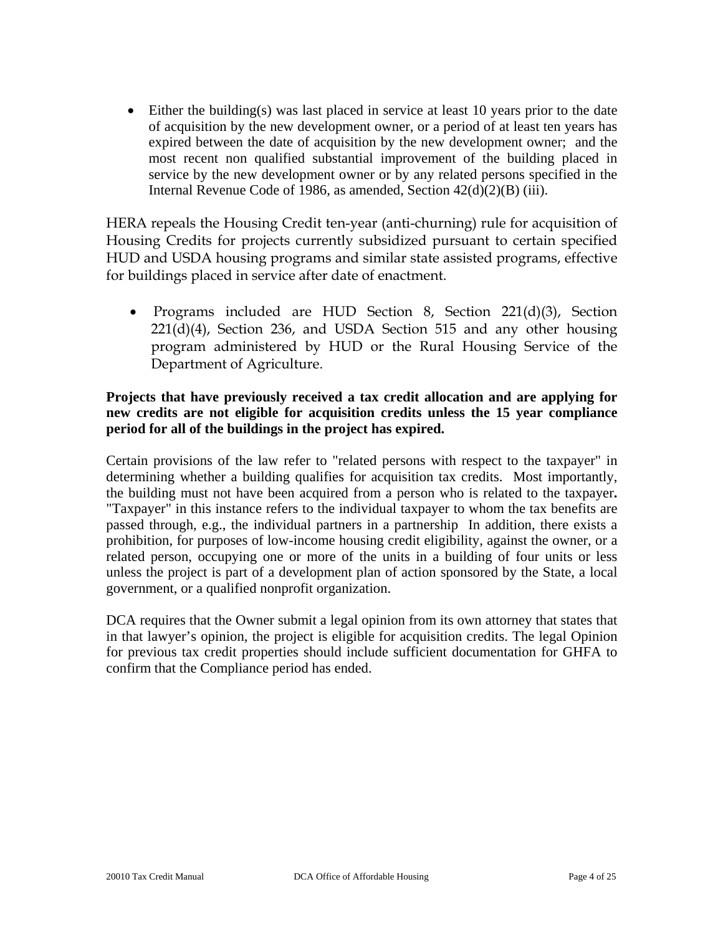• Either the building(s) was last placed in service at least 10 years prior to the date of acquisition by the new development owner, or a period of at least ten years has expired between the date of acquisition by the new development owner; and the most recent non qualified substantial improvement of the building placed in service by the new development owner or by any related persons specified in the Internal Revenue Code of 1986, as amended, Section 42(d)(2)(B) (iii).

HERA repeals the Housing Credit ten-year (anti-churning) rule for acquisition of Housing Credits for projects currently subsidized pursuant to certain specified HUD and USDA housing programs and similar state assisted programs, effective for buildings placed in service after date of enactment.

• Programs included are HUD Section 8, Section 221(d)(3), Section 221(d)(4), Section 236, and USDA Section 515 and any other housing program administered by HUD or the Rural Housing Service of the Department of Agriculture.

## **Projects that have previously received a tax credit allocation and are applying for new credits are not eligible for acquisition credits unless the 15 year compliance period for all of the buildings in the project has expired.**

Certain provisions of the law refer to "related persons with respect to the taxpayer" in determining whether a building qualifies for acquisition tax credits. Most importantly, the building must not have been acquired from a person who is related to the taxpayer**.**  "Taxpayer" in this instance refers to the individual taxpayer to whom the tax benefits are passed through, e.g., the individual partners in a partnership In addition, there exists a prohibition, for purposes of low-income housing credit eligibility, against the owner, or a related person, occupying one or more of the units in a building of four units or less unless the project is part of a development plan of action sponsored by the State, a local government, or a qualified nonprofit organization.

DCA requires that the Owner submit a legal opinion from its own attorney that states that in that lawyer's opinion, the project is eligible for acquisition credits. The legal Opinion for previous tax credit properties should include sufficient documentation for GHFA to confirm that the Compliance period has ended.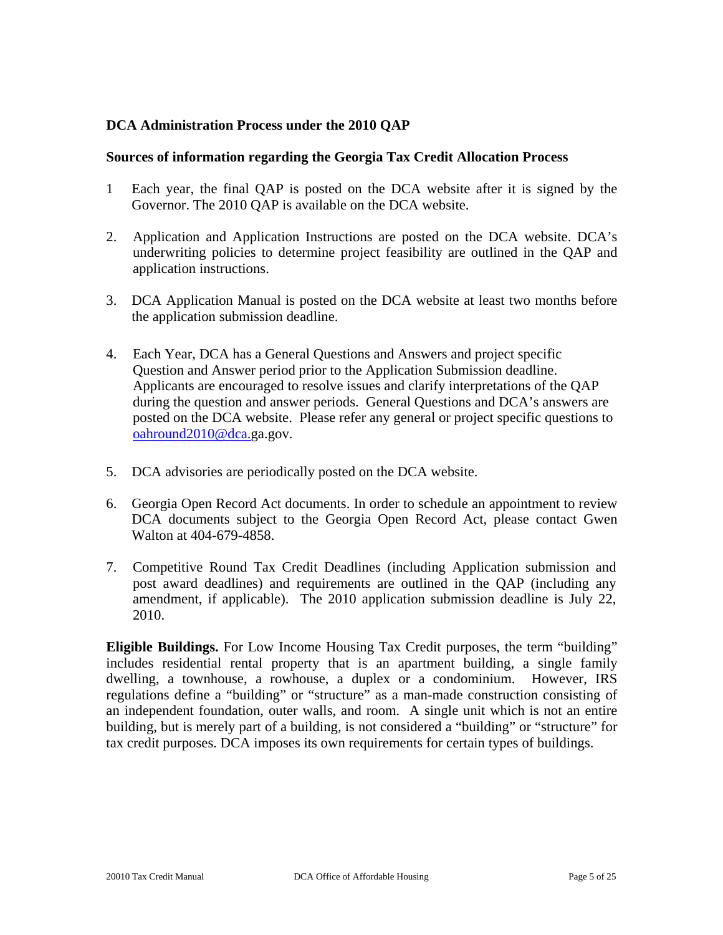## **DCA Administration Process under the 2010 QAP**

#### **Sources of information regarding the Georgia Tax Credit Allocation Process**

- 1 Each year, the final QAP is posted on the DCA website after it is signed by the Governor. The 2010 QAP is available on the DCA website.
- 2. Application and Application Instructions are posted on the DCA website. DCA's underwriting policies to determine project feasibility are outlined in the QAP and application instructions.
- 3. DCA Application Manual is posted on the DCA website at least two months before the application submission deadline.
- 4. Each Year, DCA has a General Questions and Answers and project specific Question and Answer period prior to the Application Submission deadline. Applicants are encouraged to resolve issues and clarify interpretations of the QAP during the question and answer periods. General Questions and DCA's answers are posted on the DCA website. Please refer any general or project specific questions to [oahround2010@dca.g](mailto:oahround2010@dca.)a.gov.
- 5. DCA advisories are periodically posted on the DCA website.
- 6. Georgia Open Record Act documents. In order to schedule an appointment to review DCA documents subject to the Georgia Open Record Act, please contact Gwen Walton at 404-679-4858.
- 7. Competitive Round Tax Credit Deadlines (including Application submission and post award deadlines) and requirements are outlined in the QAP (including any amendment, if applicable). The 2010 application submission deadline is July 22, 2010.

**Eligible Buildings.** For Low Income Housing Tax Credit purposes, the term "building" includes residential rental property that is an apartment building, a single family dwelling, a townhouse, a rowhouse, a duplex or a condominium. However, IRS regulations define a "building" or "structure" as a man-made construction consisting of an independent foundation, outer walls, and room. A single unit which is not an entire building, but is merely part of a building, is not considered a "building" or "structure" for tax credit purposes. DCA imposes its own requirements for certain types of buildings.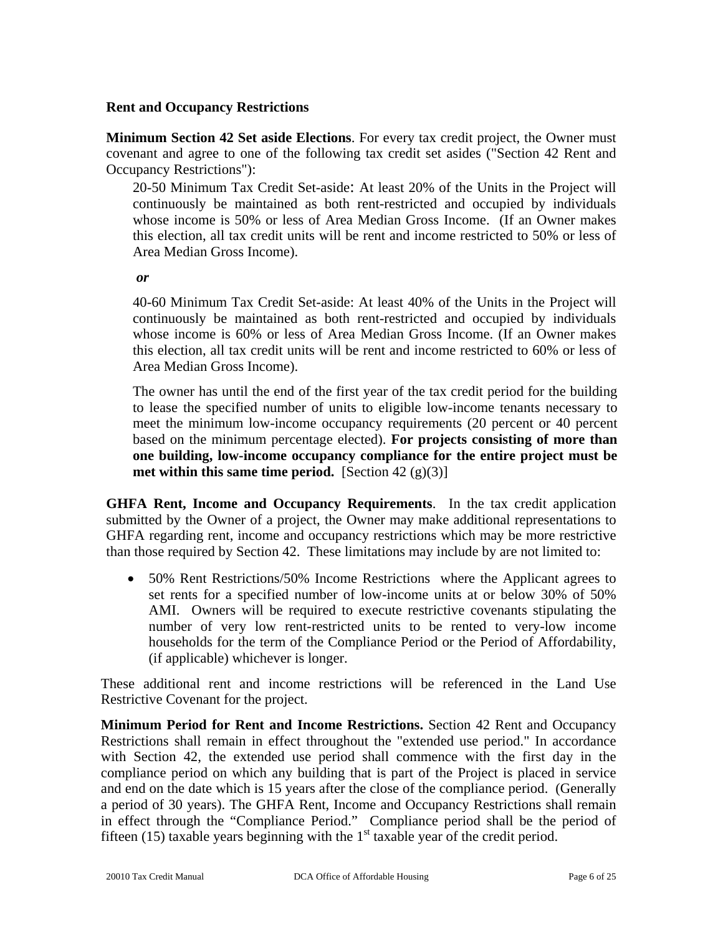#### **Rent and Occupancy Restrictions**

**Minimum Section 42 Set aside Elections**. For every tax credit project, the Owner must covenant and agree to one of the following tax credit set asides ("Section 42 Rent and Occupancy Restrictions"):

20-50 Minimum Tax Credit Set-aside: At least 20% of the Units in the Project will continuously be maintained as both rent-restricted and occupied by individuals whose income is 50% or less of Area Median Gross Income. (If an Owner makes this election, all tax credit units will be rent and income restricted to 50% or less of Area Median Gross Income).

*or* 

40-60 Minimum Tax Credit Set-aside: At least 40% of the Units in the Project will continuously be maintained as both rent-restricted and occupied by individuals whose income is 60% or less of Area Median Gross Income. (If an Owner makes this election, all tax credit units will be rent and income restricted to 60% or less of Area Median Gross Income).

The owner has until the end of the first year of the tax credit period for the building to lease the specified number of units to eligible low-income tenants necessary to meet the minimum low-income occupancy requirements (20 percent or 40 percent based on the minimum percentage elected). **For projects consisting of more than one building, low-income occupancy compliance for the entire project must be met within this same time period.** [Section 42  $(g)(3)$ ]

**GHFA Rent, Income and Occupancy Requirements**. In the tax credit application submitted by the Owner of a project, the Owner may make additional representations to GHFA regarding rent, income and occupancy restrictions which may be more restrictive than those required by Section 42. These limitations may include by are not limited to:

• 50% Rent Restrictions/50% Income Restrictions where the Applicant agrees to set rents for a specified number of low-income units at or below 30% of 50% AMI. Owners will be required to execute restrictive covenants stipulating the number of very low rent-restricted units to be rented to very-low income households for the term of the Compliance Period or the Period of Affordability, (if applicable) whichever is longer.

These additional rent and income restrictions will be referenced in the Land Use Restrictive Covenant for the project.

**Minimum Period for Rent and Income Restrictions.** Section 42 Rent and Occupancy Restrictions shall remain in effect throughout the "extended use period." In accordance with Section 42, the extended use period shall commence with the first day in the compliance period on which any building that is part of the Project is placed in service and end on the date which is 15 years after the close of the compliance period. (Generally a period of 30 years). The GHFA Rent, Income and Occupancy Restrictions shall remain in effect through the "Compliance Period." Compliance period shall be the period of fifteen (15) taxable years beginning with the  $1<sup>st</sup>$  taxable year of the credit period.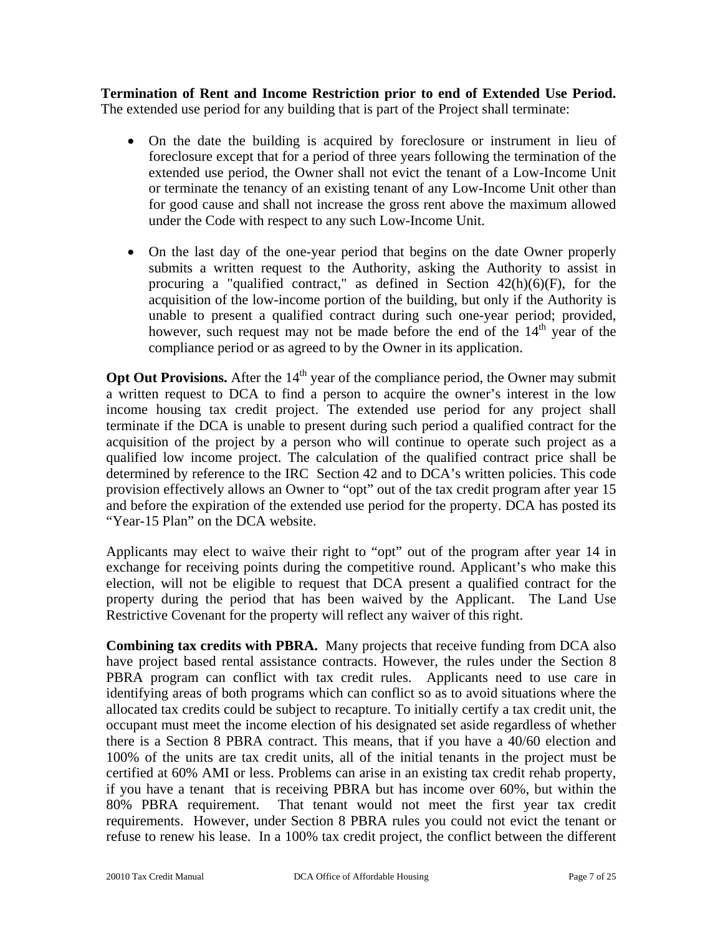**Termination of Rent and Income Restriction prior to end of Extended Use Period.**  The extended use period for any building that is part of the Project shall terminate:

- On the date the building is acquired by foreclosure or instrument in lieu of foreclosure except that for a period of three years following the termination of the extended use period, the Owner shall not evict the tenant of a Low-Income Unit or terminate the tenancy of an existing tenant of any Low-Income Unit other than for good cause and shall not increase the gross rent above the maximum allowed under the Code with respect to any such Low-Income Unit.
- On the last day of the one-year period that begins on the date Owner properly submits a written request to the Authority, asking the Authority to assist in procuring a "qualified contract," as defined in Section  $42(h)(6)(F)$ , for the acquisition of the low-income portion of the building, but only if the Authority is unable to present a qualified contract during such one-year period; provided, however, such request may not be made before the end of the  $14<sup>th</sup>$  year of the compliance period or as agreed to by the Owner in its application.

**Opt Out Provisions.** After the 14<sup>th</sup> year of the compliance period, the Owner may submit a written request to DCA to find a person to acquire the owner's interest in the low income housing tax credit project. The extended use period for any project shall terminate if the DCA is unable to present during such period a qualified contract for the acquisition of the project by a person who will continue to operate such project as a qualified low income project. The calculation of the qualified contract price shall be determined by reference to the IRC Section 42 and to DCA's written policies. This code provision effectively allows an Owner to "opt" out of the tax credit program after year 15 and before the expiration of the extended use period for the property. DCA has posted its "Year-15 Plan" on the DCA website.

Applicants may elect to waive their right to "opt" out of the program after year 14 in exchange for receiving points during the competitive round. Applicant's who make this election, will not be eligible to request that DCA present a qualified contract for the property during the period that has been waived by the Applicant. The Land Use Restrictive Covenant for the property will reflect any waiver of this right.

**Combining tax credits with PBRA.** Many projects that receive funding from DCA also have project based rental assistance contracts. However, the rules under the Section 8 PBRA program can conflict with tax credit rules. Applicants need to use care in identifying areas of both programs which can conflict so as to avoid situations where the allocated tax credits could be subject to recapture. To initially certify a tax credit unit, the occupant must meet the income election of his designated set aside regardless of whether there is a Section 8 PBRA contract. This means, that if you have a 40/60 election and 100% of the units are tax credit units, all of the initial tenants in the project must be certified at 60% AMI or less. Problems can arise in an existing tax credit rehab property, if you have a tenant that is receiving PBRA but has income over 60%, but within the 80% PBRA requirement. That tenant would not meet the first year tax credit requirements. However, under Section 8 PBRA rules you could not evict the tenant or refuse to renew his lease. In a 100% tax credit project, the conflict between the different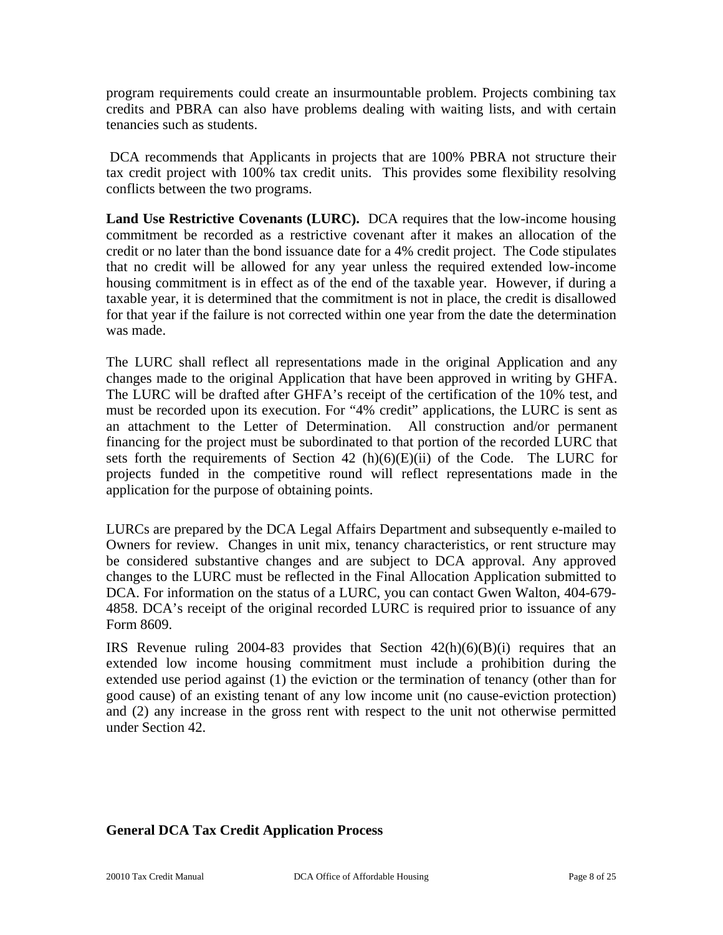program requirements could create an insurmountable problem. Projects combining tax credits and PBRA can also have problems dealing with waiting lists, and with certain tenancies such as students.

 DCA recommends that Applicants in projects that are 100% PBRA not structure their tax credit project with 100% tax credit units. This provides some flexibility resolving conflicts between the two programs.

**Land Use Restrictive Covenants (LURC).** DCA requires that the low-income housing commitment be recorded as a restrictive covenant after it makes an allocation of the credit or no later than the bond issuance date for a 4% credit project. The Code stipulates that no credit will be allowed for any year unless the required extended low-income housing commitment is in effect as of the end of the taxable year. However, if during a taxable year, it is determined that the commitment is not in place, the credit is disallowed for that year if the failure is not corrected within one year from the date the determination was made.

The LURC shall reflect all representations made in the original Application and any changes made to the original Application that have been approved in writing by GHFA. The LURC will be drafted after GHFA's receipt of the certification of the 10% test, and must be recorded upon its execution. For "4% credit" applications, the LURC is sent as an attachment to the Letter of Determination. All construction and/or permanent financing for the project must be subordinated to that portion of the recorded LURC that sets forth the requirements of Section 42  $(h)(6)(E)(ii)$  of the Code. The LURC for projects funded in the competitive round will reflect representations made in the application for the purpose of obtaining points.

LURCs are prepared by the DCA Legal Affairs Department and subsequently e-mailed to Owners for review. Changes in unit mix, tenancy characteristics, or rent structure may be considered substantive changes and are subject to DCA approval. Any approved changes to the LURC must be reflected in the Final Allocation Application submitted to DCA. For information on the status of a LURC, you can contact Gwen Walton, 404-679- 4858. DCA's receipt of the original recorded LURC is required prior to issuance of any Form 8609.

IRS Revenue ruling 2004-83 provides that Section  $42(h)(6)(B)(i)$  requires that an extended low income housing commitment must include a prohibition during the extended use period against (1) the eviction or the termination of tenancy (other than for good cause) of an existing tenant of any low income unit (no cause-eviction protection) and (2) any increase in the gross rent with respect to the unit not otherwise permitted under Section 42.

## **General DCA Tax Credit Application Process**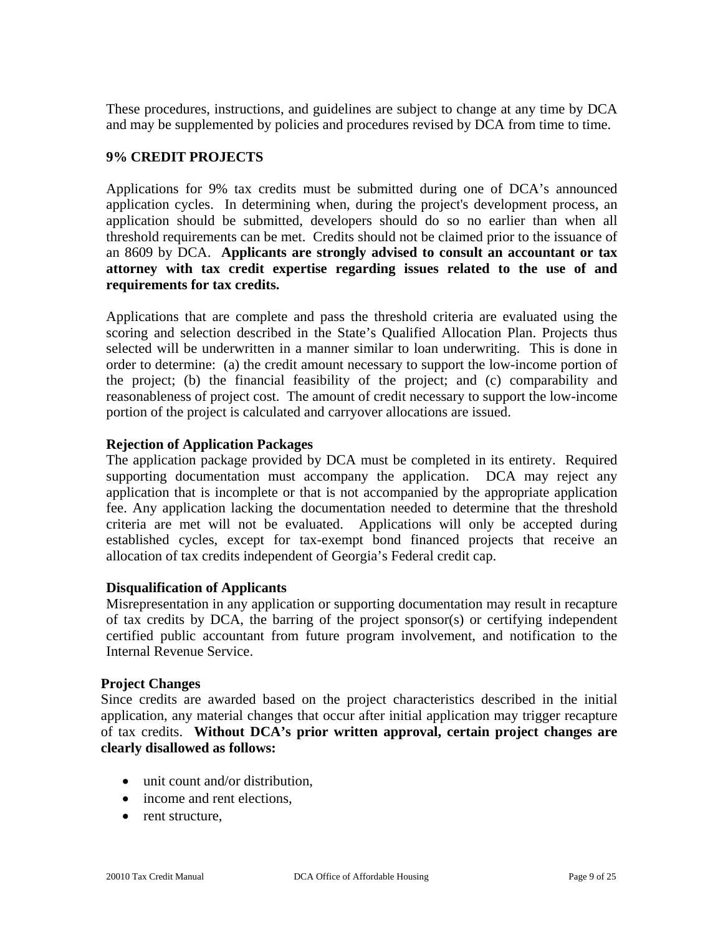These procedures, instructions, and guidelines are subject to change at any time by DCA and may be supplemented by policies and procedures revised by DCA from time to time.

## **9% CREDIT PROJECTS**

Applications for 9% tax credits must be submitted during one of DCA's announced application cycles. In determining when, during the project's development process, an application should be submitted, developers should do so no earlier than when all threshold requirements can be met. Credits should not be claimed prior to the issuance of an 8609 by DCA. **Applicants are strongly advised to consult an accountant or tax attorney with tax credit expertise regarding issues related to the use of and requirements for tax credits.** 

Applications that are complete and pass the threshold criteria are evaluated using the scoring and selection described in the State's Qualified Allocation Plan. Projects thus selected will be underwritten in a manner similar to loan underwriting. This is done in order to determine: (a) the credit amount necessary to support the low-income portion of the project; (b) the financial feasibility of the project; and (c) comparability and reasonableness of project cost. The amount of credit necessary to support the low-income portion of the project is calculated and carryover allocations are issued.

## **Rejection of Application Packages**

The application package provided by DCA must be completed in its entirety. Required supporting documentation must accompany the application. DCA may reject any application that is incomplete or that is not accompanied by the appropriate application fee. Any application lacking the documentation needed to determine that the threshold criteria are met will not be evaluated. Applications will only be accepted during established cycles, except for tax-exempt bond financed projects that receive an allocation of tax credits independent of Georgia's Federal credit cap.

## **Disqualification of Applicants**

Misrepresentation in any application or supporting documentation may result in recapture of tax credits by DCA, the barring of the project sponsor(s) or certifying independent certified public accountant from future program involvement, and notification to the Internal Revenue Service.

## **Project Changes**

Since credits are awarded based on the project characteristics described in the initial application, any material changes that occur after initial application may trigger recapture of tax credits. **Without DCA's prior written approval, certain project changes are clearly disallowed as follows:**

- unit count and/or distribution.
- income and rent elections,
- rent structure,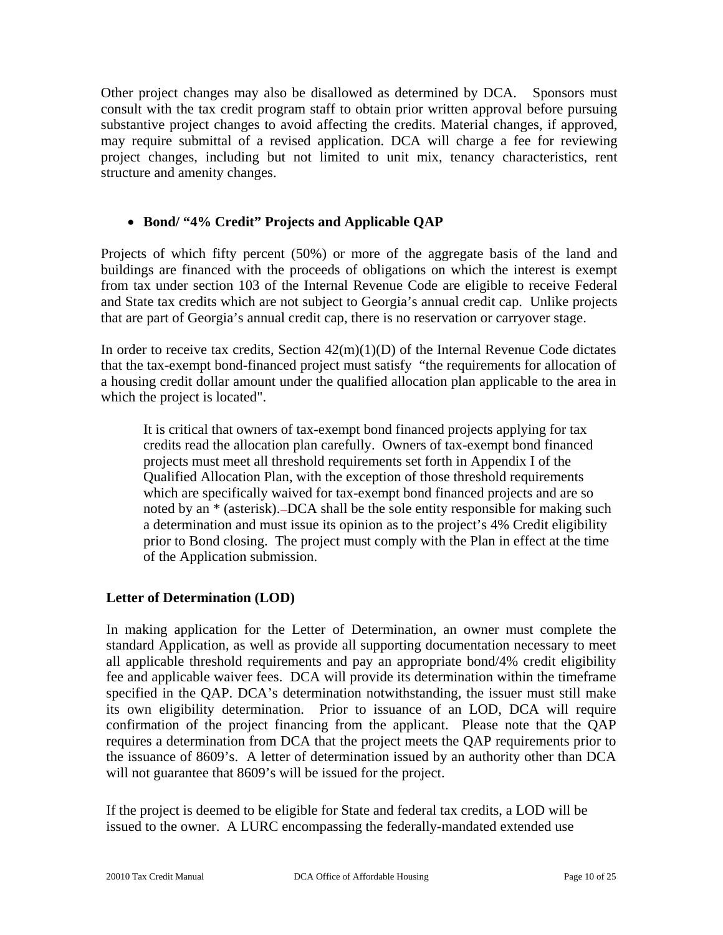Other project changes may also be disallowed as determined by DCA. Sponsors must consult with the tax credit program staff to obtain prior written approval before pursuing substantive project changes to avoid affecting the credits. Material changes, if approved, may require submittal of a revised application. DCA will charge a fee for reviewing project changes, including but not limited to unit mix, tenancy characteristics, rent structure and amenity changes.

# • **Bond/ "4% Credit" Projects and Applicable QAP**

Projects of which fifty percent (50%) or more of the aggregate basis of the land and buildings are financed with the proceeds of obligations on which the interest is exempt from tax under section 103 of the Internal Revenue Code are eligible to receive Federal and State tax credits which are not subject to Georgia's annual credit cap. Unlike projects that are part of Georgia's annual credit cap, there is no reservation or carryover stage.

In order to receive tax credits, Section  $42(m)(1)(D)$  of the Internal Revenue Code dictates that the tax-exempt bond-financed project must satisfy "the requirements for allocation of a housing credit dollar amount under the qualified allocation plan applicable to the area in which the project is located".

It is critical that owners of tax-exempt bond financed projects applying for tax credits read the allocation plan carefully. Owners of tax-exempt bond financed projects must meet all threshold requirements set forth in Appendix I of the Qualified Allocation Plan, with the exception of those threshold requirements which are specifically waived for tax-exempt bond financed projects and are so noted by an \* (asterisk). DCA shall be the sole entity responsible for making such a determination and must issue its opinion as to the project's 4% Credit eligibility prior to Bond closing. The project must comply with the Plan in effect at the time of the Application submission.

## **Letter of Determination (LOD)**

In making application for the Letter of Determination, an owner must complete the standard Application, as well as provide all supporting documentation necessary to meet all applicable threshold requirements and pay an appropriate bond/4% credit eligibility fee and applicable waiver fees.DCA will provide its determination within the timeframe specified in the QAP. DCA's determination notwithstanding, the issuer must still make its own eligibility determination. Prior to issuance of an LOD, DCA will require confirmation of the project financing from the applicant. Please note that the QAP requires a determination from DCA that the project meets the QAP requirements prior to the issuance of 8609's. A letter of determination issued by an authority other than DCA will not guarantee that 8609's will be issued for the project.

If the project is deemed to be eligible for State and federal tax credits, a LOD will be issued to the owner. A LURC encompassing the federally-mandated extended use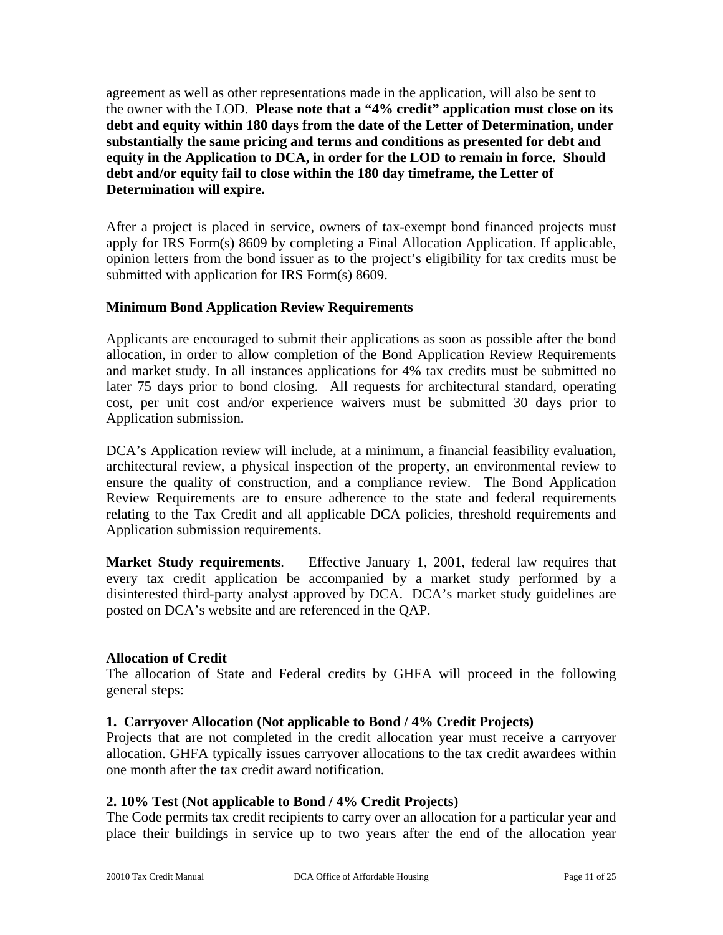agreement as well as other representations made in the application, will also be sent to the owner with the LOD. **Please note that a "4% credit" application must close on its debt and equity within 180 days from the date of the Letter of Determination, under substantially the same pricing and terms and conditions as presented for debt and equity in the Application to DCA, in order for the LOD to remain in force. Should debt and/or equity fail to close within the 180 day timeframe, the Letter of Determination will expire.** 

After a project is placed in service, owners of tax-exempt bond financed projects must apply for IRS Form(s) 8609 by completing a Final Allocation Application. If applicable, opinion letters from the bond issuer as to the project's eligibility for tax credits must be submitted with application for IRS Form(s) 8609.

## **Minimum Bond Application Review Requirements**

Applicants are encouraged to submit their applications as soon as possible after the bond allocation, in order to allow completion of the Bond Application Review Requirements and market study. In all instances applications for 4% tax credits must be submitted no later 75 days prior to bond closing. All requests for architectural standard, operating cost, per unit cost and/or experience waivers must be submitted 30 days prior to Application submission.

DCA's Application review will include, at a minimum, a financial feasibility evaluation, architectural review, a physical inspection of the property, an environmental review to ensure the quality of construction, and a compliance review. The Bond Application Review Requirements are to ensure adherence to the state and federal requirements relating to the Tax Credit and all applicable DCA policies, threshold requirements and Application submission requirements.

**Market Study requirements**. Effective January 1, 2001, federal law requires that every tax credit application be accompanied by a market study performed by a disinterested third-party analyst approved by DCA. DCA's market study guidelines are posted on DCA's website and are referenced in the QAP.

## **Allocation of Credit**

The allocation of State and Federal credits by GHFA will proceed in the following general steps:

## **1. Carryover Allocation (Not applicable to Bond / 4% Credit Projects)**

Projects that are not completed in the credit allocation year must receive a carryover allocation. GHFA typically issues carryover allocations to the tax credit awardees within one month after the tax credit award notification.

## **2. 10% Test (Not applicable to Bond / 4% Credit Projects)**

The Code permits tax credit recipients to carry over an allocation for a particular year and place their buildings in service up to two years after the end of the allocation year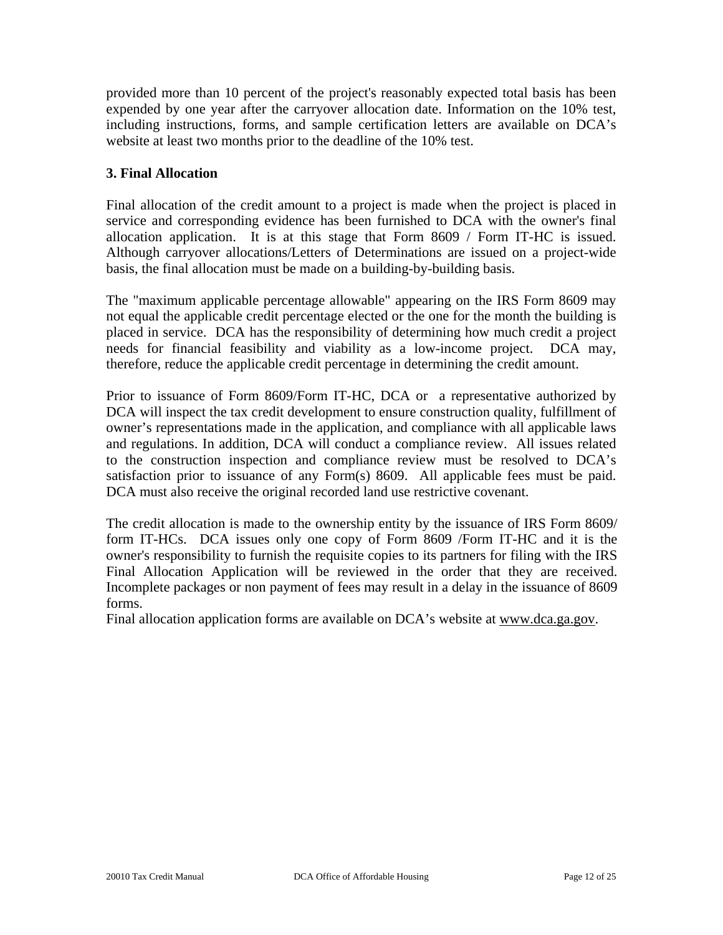provided more than 10 percent of the project's reasonably expected total basis has been expended by one year after the carryover allocation date. Information on the 10% test, including instructions, forms, and sample certification letters are available on DCA's website at least two months prior to the deadline of the 10% test.

# **3. Final Allocation**

Final allocation of the credit amount to a project is made when the project is placed in service and corresponding evidence has been furnished to DCA with the owner's final allocation application. It is at this stage that Form 8609 / Form IT-HC is issued. Although carryover allocations/Letters of Determinations are issued on a project-wide basis, the final allocation must be made on a building-by-building basis.

The "maximum applicable percentage allowable" appearing on the IRS Form 8609 may not equal the applicable credit percentage elected or the one for the month the building is placed in service. DCA has the responsibility of determining how much credit a project needs for financial feasibility and viability as a low-income project. DCA may, therefore, reduce the applicable credit percentage in determining the credit amount.

Prior to issuance of Form 8609/Form IT-HC, DCA or a representative authorized by DCA will inspect the tax credit development to ensure construction quality, fulfillment of owner's representations made in the application, and compliance with all applicable laws and regulations. In addition, DCA will conduct a compliance review. All issues related to the construction inspection and compliance review must be resolved to DCA's satisfaction prior to issuance of any Form(s) 8609. All applicable fees must be paid. DCA must also receive the original recorded land use restrictive covenant.

The credit allocation is made to the ownership entity by the issuance of IRS Form 8609/ form IT-HCs. DCA issues only one copy of Form 8609 /Form IT-HC and it is the owner's responsibility to furnish the requisite copies to its partners for filing with the IRS Final Allocation Application will be reviewed in the order that they are received. Incomplete packages or non payment of fees may result in a delay in the issuance of 8609 forms.

Final allocation application forms are available on DCA's website at www.dca.ga.gov.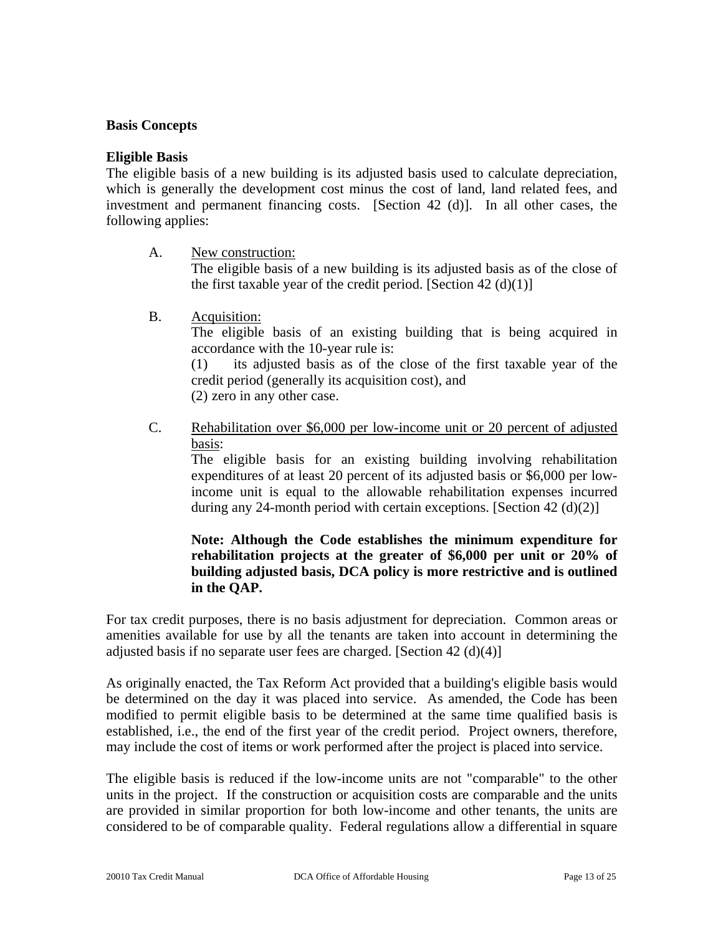#### **Basis Concepts**

#### **Eligible Basis**

The eligible basis of a new building is its adjusted basis used to calculate depreciation, which is generally the development cost minus the cost of land, land related fees, and investment and permanent financing costs. [Section 42 (d)]. In all other cases, the following applies:

A. New construction:

 The eligible basis of a new building is its adjusted basis as of the close of the first taxable year of the credit period. [Section 42 (d)(1)]

B. Acquisition:

 The eligible basis of an existing building that is being acquired in accordance with the 10-year rule is:

 (1) its adjusted basis as of the close of the first taxable year of the credit period (generally its acquisition cost), and

(2) zero in any other case.

 C. Rehabilitation over \$6,000 per low-income unit or 20 percent of adjusted basis:

The eligible basis for an existing building involving rehabilitation expenditures of at least 20 percent of its adjusted basis or \$6,000 per lowincome unit is equal to the allowable rehabilitation expenses incurred during any 24-month period with certain exceptions. [Section  $42 \text{ (d)(2)}$ ]

## **Note: Although the Code establishes the minimum expenditure for rehabilitation projects at the greater of \$6,000 per unit or 20% of building adjusted basis, DCA policy is more restrictive and is outlined in the QAP.**

For tax credit purposes, there is no basis adjustment for depreciation. Common areas or amenities available for use by all the tenants are taken into account in determining the adjusted basis if no separate user fees are charged. [Section 42 (d)(4)]

As originally enacted, the Tax Reform Act provided that a building's eligible basis would be determined on the day it was placed into service. As amended, the Code has been modified to permit eligible basis to be determined at the same time qualified basis is established, i.e., the end of the first year of the credit period. Project owners, therefore, may include the cost of items or work performed after the project is placed into service.

The eligible basis is reduced if the low-income units are not "comparable" to the other units in the project. If the construction or acquisition costs are comparable and the units are provided in similar proportion for both low-income and other tenants, the units are considered to be of comparable quality. Federal regulations allow a differential in square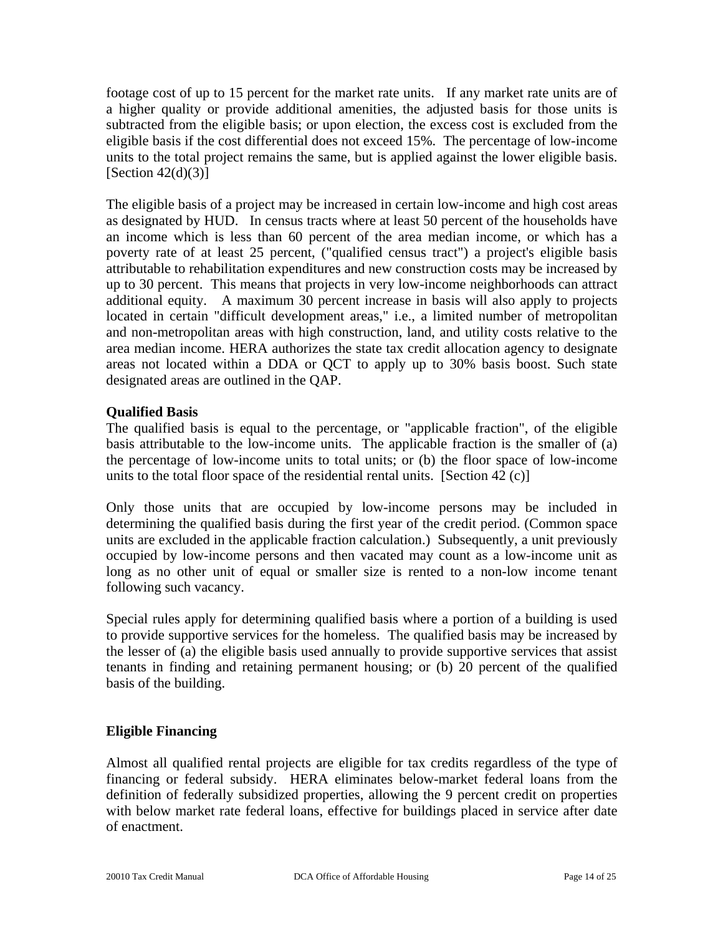footage cost of up to 15 percent for the market rate units. If any market rate units are of a higher quality or provide additional amenities, the adjusted basis for those units is subtracted from the eligible basis; or upon election, the excess cost is excluded from the eligible basis if the cost differential does not exceed 15%. The percentage of low-income units to the total project remains the same, but is applied against the lower eligible basis. [Section  $42(d)(3)$ ]

The eligible basis of a project may be increased in certain low-income and high cost areas as designated by HUD. In census tracts where at least 50 percent of the households have an income which is less than 60 percent of the area median income, or which has a poverty rate of at least 25 percent, ("qualified census tract") a project's eligible basis attributable to rehabilitation expenditures and new construction costs may be increased by up to 30 percent. This means that projects in very low-income neighborhoods can attract additional equity. A maximum 30 percent increase in basis will also apply to projects located in certain "difficult development areas," i.e., a limited number of metropolitan and non-metropolitan areas with high construction, land, and utility costs relative to the area median income. HERA authorizes the state tax credit allocation agency to designate areas not located within a DDA or QCT to apply up to 30% basis boost. Such state designated areas are outlined in the QAP.

# **Qualified Basis**

The qualified basis is equal to the percentage, or "applicable fraction", of the eligible basis attributable to the low-income units. The applicable fraction is the smaller of (a) the percentage of low-income units to total units; or (b) the floor space of low-income units to the total floor space of the residential rental units. [Section 42 (c)]

Only those units that are occupied by low-income persons may be included in determining the qualified basis during the first year of the credit period. (Common space units are excluded in the applicable fraction calculation.) Subsequently, a unit previously occupied by low-income persons and then vacated may count as a low-income unit as long as no other unit of equal or smaller size is rented to a non-low income tenant following such vacancy.

Special rules apply for determining qualified basis where a portion of a building is used to provide supportive services for the homeless. The qualified basis may be increased by the lesser of (a) the eligible basis used annually to provide supportive services that assist tenants in finding and retaining permanent housing; or (b) 20 percent of the qualified basis of the building.

# **Eligible Financing**

Almost all qualified rental projects are eligible for tax credits regardless of the type of financing or federal subsidy. HERA eliminates below-market federal loans from the definition of federally subsidized properties, allowing the 9 percent credit on properties with below market rate federal loans, effective for buildings placed in service after date of enactment.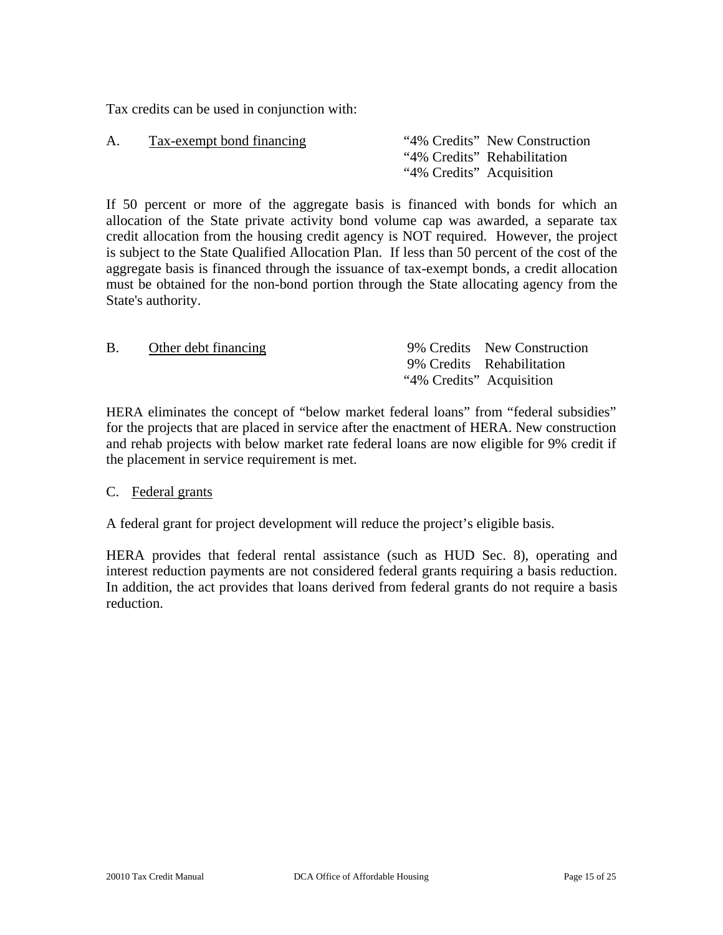Tax credits can be used in conjunction with:

| A. | Tax-exempt bond financing | "4% Credits" New Construction |
|----|---------------------------|-------------------------------|
|    |                           | "4% Credits" Rehabilitation   |
|    |                           | "4% Credits" Acquisition      |

If 50 percent or more of the aggregate basis is financed with bonds for which an allocation of the State private activity bond volume cap was awarded, a separate tax credit allocation from the housing credit agency is NOT required. However, the project is subject to the State Qualified Allocation Plan. If less than 50 percent of the cost of the aggregate basis is financed through the issuance of tax-exempt bonds, a credit allocation must be obtained for the non-bond portion through the State allocating agency from the State's authority.

|                      | 9% Credits New Construction |
|----------------------|-----------------------------|
|                      | 9% Credits Rehabilitation   |
|                      |                             |
| Other debt financing | "4% Credits" Acquisition    |

HERA eliminates the concept of "below market federal loans" from "federal subsidies" for the projects that are placed in service after the enactment of HERA. New construction and rehab projects with below market rate federal loans are now eligible for 9% credit if the placement in service requirement is met.

## C. Federal grants

A federal grant for project development will reduce the project's eligible basis.

HERA provides that federal rental assistance (such as HUD Sec. 8), operating and interest reduction payments are not considered federal grants requiring a basis reduction. In addition, the act provides that loans derived from federal grants do not require a basis reduction.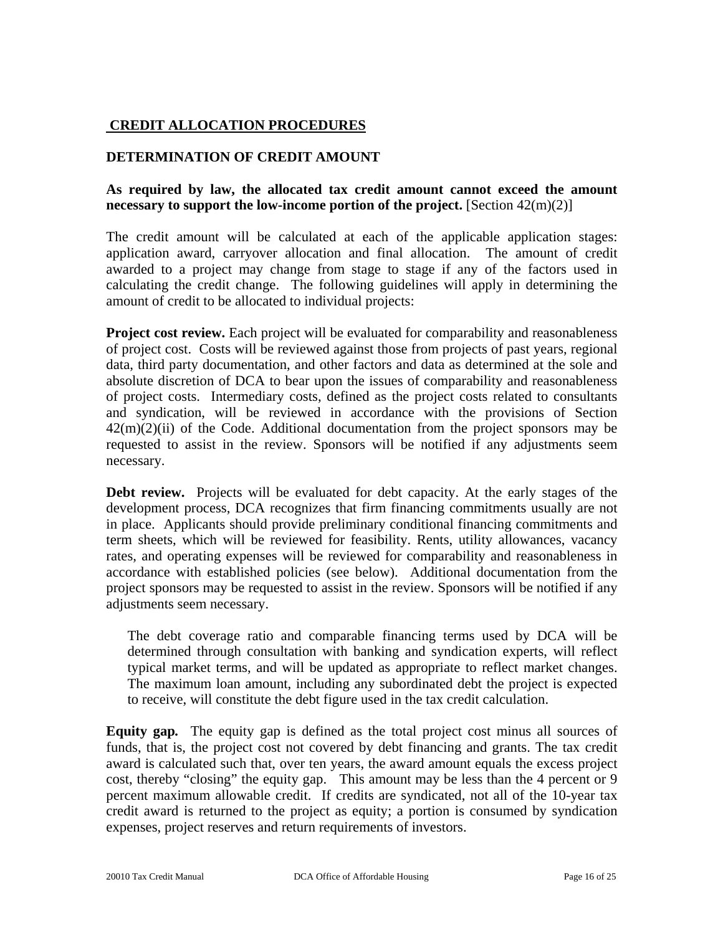# **CREDIT ALLOCATION PROCEDURES**

## **DETERMINATION OF CREDIT AMOUNT**

## **As required by law, the allocated tax credit amount cannot exceed the amount necessary to support the low-income portion of the project.** [Section 42(m)(2)]

The credit amount will be calculated at each of the applicable application stages: application award, carryover allocation and final allocation. The amount of credit awarded to a project may change from stage to stage if any of the factors used in calculating the credit change. The following guidelines will apply in determining the amount of credit to be allocated to individual projects:

**Project cost review.** Each project will be evaluated for comparability and reasonableness of project cost. Costs will be reviewed against those from projects of past years, regional data, third party documentation, and other factors and data as determined at the sole and absolute discretion of DCA to bear upon the issues of comparability and reasonableness of project costs. Intermediary costs, defined as the project costs related to consultants and syndication, will be reviewed in accordance with the provisions of Section  $42(m)(2)(ii)$  of the Code. Additional documentation from the project sponsors may be requested to assist in the review. Sponsors will be notified if any adjustments seem necessary.

**Debt review.** Projects will be evaluated for debt capacity. At the early stages of the development process, DCA recognizes that firm financing commitments usually are not in place. Applicants should provide preliminary conditional financing commitments and term sheets, which will be reviewed for feasibility. Rents, utility allowances, vacancy rates, and operating expenses will be reviewed for comparability and reasonableness in accordance with established policies (see below). Additional documentation from the project sponsors may be requested to assist in the review. Sponsors will be notified if any adjustments seem necessary.

The debt coverage ratio and comparable financing terms used by DCA will be determined through consultation with banking and syndication experts, will reflect typical market terms, and will be updated as appropriate to reflect market changes. The maximum loan amount, including any subordinated debt the project is expected to receive, will constitute the debt figure used in the tax credit calculation.

**Equity gap***.* The equity gap is defined as the total project cost minus all sources of funds, that is, the project cost not covered by debt financing and grants. The tax credit award is calculated such that, over ten years, the award amount equals the excess project cost, thereby "closing" the equity gap. This amount may be less than the 4 percent or 9 percent maximum allowable credit. If credits are syndicated, not all of the 10-year tax credit award is returned to the project as equity; a portion is consumed by syndication expenses, project reserves and return requirements of investors.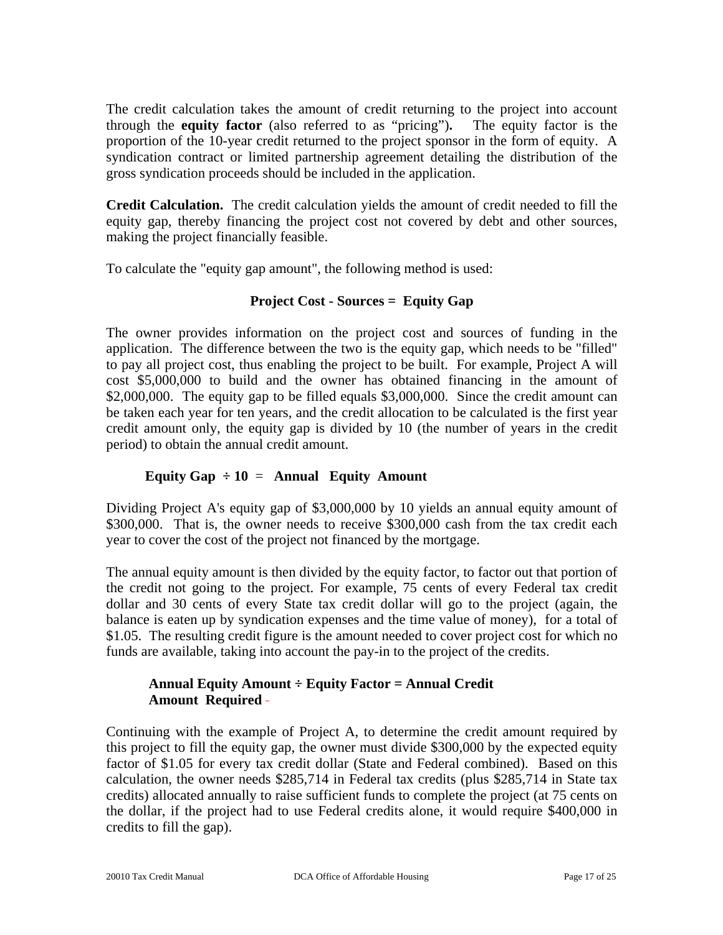The credit calculation takes the amount of credit returning to the project into account through the **equity factor** (also referred to as "pricing")**.**The equity factor is the proportion of the 10-year credit returned to the project sponsor in the form of equity. A syndication contract or limited partnership agreement detailing the distribution of the gross syndication proceeds should be included in the application.

**Credit Calculation.** The credit calculation yields the amount of credit needed to fill the equity gap, thereby financing the project cost not covered by debt and other sources, making the project financially feasible.

To calculate the "equity gap amount", the following method is used:

# **Project Cost - Sources = Equity Gap**

The owner provides information on the project cost and sources of funding in the application. The difference between the two is the equity gap, which needs to be "filled" to pay all project cost, thus enabling the project to be built. For example, Project A will cost \$5,000,000 to build and the owner has obtained financing in the amount of \$2,000,000. The equity gap to be filled equals \$3,000,000. Since the credit amount can be taken each year for ten years, and the credit allocation to be calculated is the first year credit amount only, the equity gap is divided by 10 (the number of years in the credit period) to obtain the annual credit amount.

# **Equity Gap**  $\div 10 =$  **Annual Equity Amount**

Dividing Project A's equity gap of \$3,000,000 by 10 yields an annual equity amount of \$300,000. That is, the owner needs to receive \$300,000 cash from the tax credit each year to cover the cost of the project not financed by the mortgage.

The annual equity amount is then divided by the equity factor, to factor out that portion of the credit not going to the project. For example, 75 cents of every Federal tax credit dollar and 30 cents of every State tax credit dollar will go to the project (again, the balance is eaten up by syndication expenses and the time value of money), for a total of \$1.05. The resulting credit figure is the amount needed to cover project cost for which no funds are available, taking into account the pay-in to the project of the credits.

## **Annual Equity Amount ÷ Equity Factor = Annual Credit Amount Required**

Continuing with the example of Project A, to determine the credit amount required by this project to fill the equity gap, the owner must divide \$300,000 by the expected equity factor of \$1.05 for every tax credit dollar (State and Federal combined). Based on this calculation, the owner needs \$285,714 in Federal tax credits (plus \$285,714 in State tax credits) allocated annually to raise sufficient funds to complete the project (at 75 cents on the dollar, if the project had to use Federal credits alone, it would require \$400,000 in credits to fill the gap).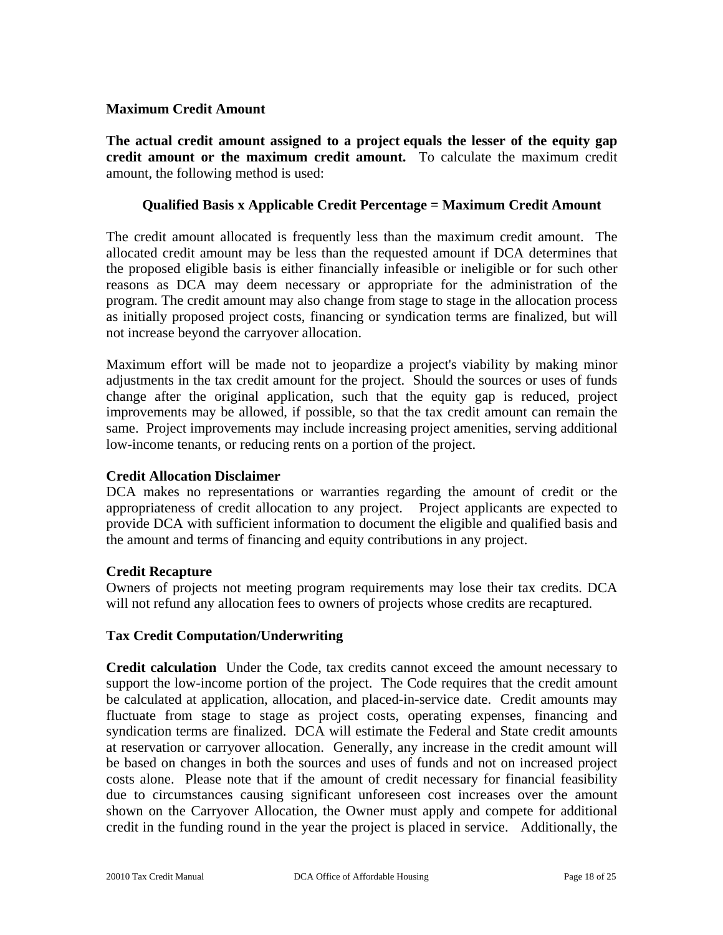## **Maximum Credit Amount**

**The actual credit amount assigned to a project equals the lesser of the equity gap credit amount or the maximum credit amount.** To calculate the maximum credit amount, the following method is used:

## **Qualified Basis x Applicable Credit Percentage = Maximum Credit Amount**

The credit amount allocated is frequently less than the maximum credit amount. The allocated credit amount may be less than the requested amount if DCA determines that the proposed eligible basis is either financially infeasible or ineligible or for such other reasons as DCA may deem necessary or appropriate for the administration of the program. The credit amount may also change from stage to stage in the allocation process as initially proposed project costs, financing or syndication terms are finalized, but will not increase beyond the carryover allocation.

Maximum effort will be made not to jeopardize a project's viability by making minor adjustments in the tax credit amount for the project. Should the sources or uses of funds change after the original application, such that the equity gap is reduced, project improvements may be allowed, if possible, so that the tax credit amount can remain the same. Project improvements may include increasing project amenities, serving additional low-income tenants, or reducing rents on a portion of the project.

## **Credit Allocation Disclaimer**

DCA makes no representations or warranties regarding the amount of credit or the appropriateness of credit allocation to any project. Project applicants are expected to provide DCA with sufficient information to document the eligible and qualified basis and the amount and terms of financing and equity contributions in any project.

## **Credit Recapture**

Owners of projects not meeting program requirements may lose their tax credits. DCA will not refund any allocation fees to owners of projects whose credits are recaptured.

## **Tax Credit Computation/Underwriting**

**Credit calculation**Under the Code, tax credits cannot exceed the amount necessary to support the low-income portion of the project. The Code requires that the credit amount be calculated at application, allocation, and placed-in-service date. Credit amounts may fluctuate from stage to stage as project costs, operating expenses, financing and syndication terms are finalized. DCA will estimate the Federal and State credit amounts at reservation or carryover allocation. Generally, any increase in the credit amount will be based on changes in both the sources and uses of funds and not on increased project costs alone. Please note that if the amount of credit necessary for financial feasibility due to circumstances causing significant unforeseen cost increases over the amount shown on the Carryover Allocation, the Owner must apply and compete for additional credit in the funding round in the year the project is placed in service. Additionally, the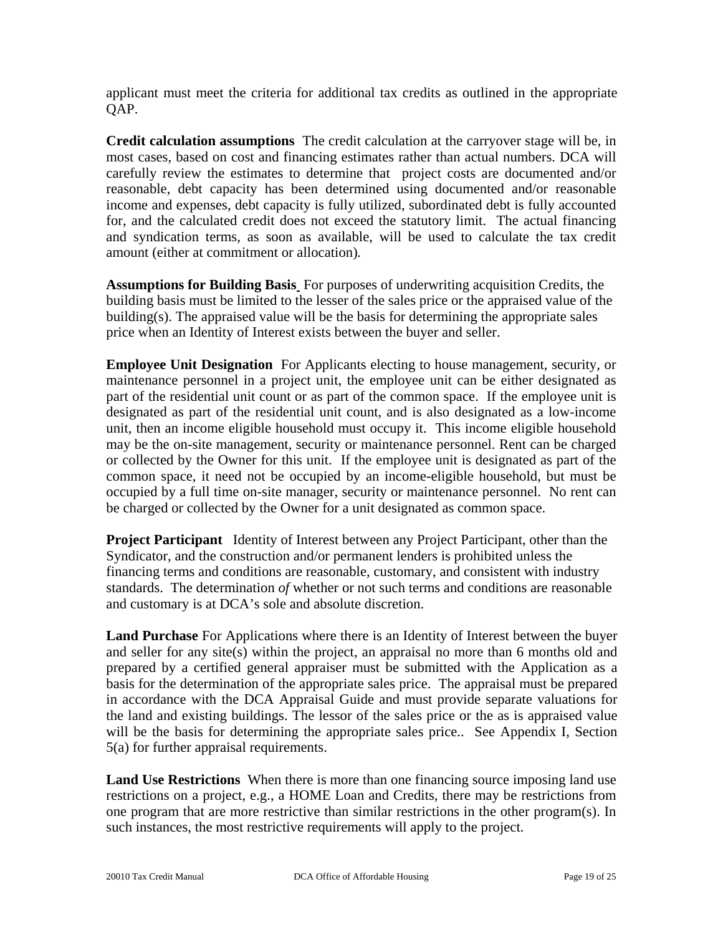applicant must meet the criteria for additional tax credits as outlined in the appropriate OAP.

**Credit calculation assumptions**The credit calculation at the carryover stage will be, in most cases, based on cost and financing estimates rather than actual numbers. DCA will carefully review the estimates to determine that project costs are documented and/or reasonable, debt capacity has been determined using documented and/or reasonable income and expenses, debt capacity is fully utilized, subordinated debt is fully accounted for, and the calculated credit does not exceed the statutory limit. The actual financing and syndication terms, as soon as available, will be used to calculate the tax credit amount (either at commitment or allocation)*.* 

**Assumptions for Building Basis** For purposes of underwriting acquisition Credits, the building basis must be limited to the lesser of the sales price or the appraised value of the building(s). The appraised value will be the basis for determining the appropriate sales price when an Identity of Interest exists between the buyer and seller.

**Employee Unit Designation** For Applicants electing to house management, security, or maintenance personnel in a project unit, the employee unit can be either designated as part of the residential unit count or as part of the common space. If the employee unit is designated as part of the residential unit count, and is also designated as a low-income unit, then an income eligible household must occupy it. This income eligible household may be the on-site management, security or maintenance personnel. Rent can be charged or collected by the Owner for this unit. If the employee unit is designated as part of the common space, it need not be occupied by an income-eligible household, but must be occupied by a full time on-site manager, security or maintenance personnel. No rent can be charged or collected by the Owner for a unit designated as common space.

**Project Participant** Identity of Interest between any Project Participant, other than the Syndicator, and the construction and/or permanent lenders is prohibited unless the financing terms and conditions are reasonable, customary, and consistent with industry standards. The determination *of* whether or not such terms and conditions are reasonable and customary is at DCA's sole and absolute discretion.

**Land Purchase** For Applications where there is an Identity of Interest between the buyer and seller for any site(s) within the project, an appraisal no more than 6 months old and prepared by a certified general appraiser must be submitted with the Application as a basis for the determination of the appropriate sales price. The appraisal must be prepared in accordance with the DCA Appraisal Guide and must provide separate valuations for the land and existing buildings. The lessor of the sales price or the as is appraised value will be the basis for determining the appropriate sales price.. See Appendix I, Section 5(a) for further appraisal requirements.

**Land Use Restrictions** When there is more than one financing source imposing land use restrictions on a project, e.g., a HOME Loan and Credits, there may be restrictions from one program that are more restrictive than similar restrictions in the other program(s). In such instances, the most restrictive requirements will apply to the project.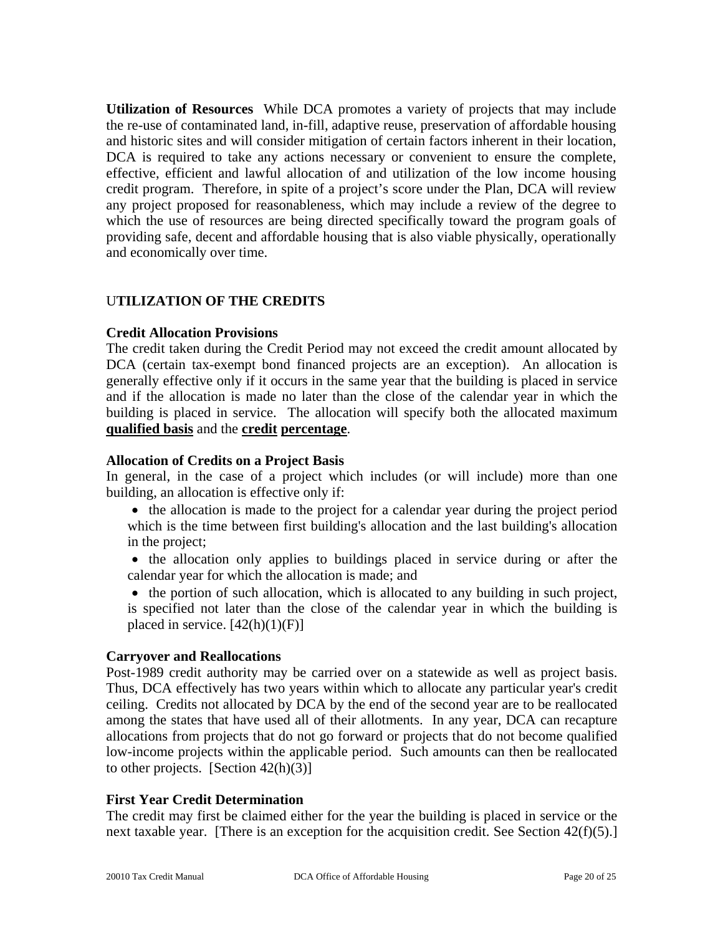**Utilization of Resources** While DCA promotes a variety of projects that may include the re-use of contaminated land, in-fill, adaptive reuse, preservation of affordable housing and historic sites and will consider mitigation of certain factors inherent in their location, DCA is required to take any actions necessary or convenient to ensure the complete, effective, efficient and lawful allocation of and utilization of the low income housing credit program. Therefore, in spite of a project's score under the Plan, DCA will review any project proposed for reasonableness, which may include a review of the degree to which the use of resources are being directed specifically toward the program goals of providing safe, decent and affordable housing that is also viable physically, operationally and economically over time.

## U**TILIZATION OF THE CREDITS**

#### **Credit Allocation Provisions**

The credit taken during the Credit Period may not exceed the credit amount allocated by DCA (certain tax-exempt bond financed projects are an exception). An allocation is generally effective only if it occurs in the same year that the building is placed in service and if the allocation is made no later than the close of the calendar year in which the building is placed in service. The allocation will specify both the allocated maximum **qualified basis** and the **credit percentage**.

#### **Allocation of Credits on a Project Basis**

In general, in the case of a project which includes (or will include) more than one building, an allocation is effective only if:

- the allocation is made to the project for a calendar year during the project period which is the time between first building's allocation and the last building's allocation in the project;
- the allocation only applies to buildings placed in service during or after the calendar year for which the allocation is made; and
- the portion of such allocation, which is allocated to any building in such project, is specified not later than the close of the calendar year in which the building is placed in service.  $[42(h)(1)(F)]$

## **Carryover and Reallocations**

Post-1989 credit authority may be carried over on a statewide as well as project basis. Thus, DCA effectively has two years within which to allocate any particular year's credit ceiling. Credits not allocated by DCA by the end of the second year are to be reallocated among the states that have used all of their allotments. In any year, DCA can recapture allocations from projects that do not go forward or projects that do not become qualified low-income projects within the applicable period. Such amounts can then be reallocated to other projects. [Section  $42(h)(3)$ ]

#### **First Year Credit Determination**

The credit may first be claimed either for the year the building is placed in service or the next taxable year. [There is an exception for the acquisition credit. See Section 42(f)(5).]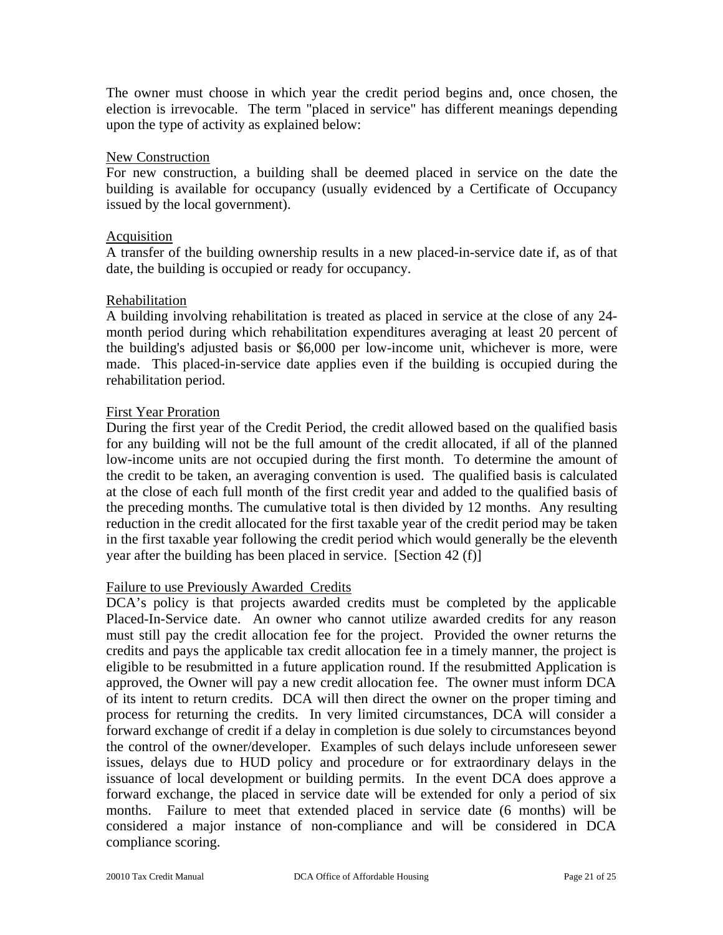The owner must choose in which year the credit period begins and, once chosen, the election is irrevocable. The term "placed in service" has different meanings depending upon the type of activity as explained below:

#### New Construction

For new construction, a building shall be deemed placed in service on the date the building is available for occupancy (usually evidenced by a Certificate of Occupancy issued by the local government).

#### Acquisition

A transfer of the building ownership results in a new placed-in-service date if, as of that date, the building is occupied or ready for occupancy.

#### Rehabilitation

A building involving rehabilitation is treated as placed in service at the close of any 24 month period during which rehabilitation expenditures averaging at least 20 percent of the building's adjusted basis or \$6,000 per low-income unit, whichever is more, were made. This placed-in-service date applies even if the building is occupied during the rehabilitation period.

## First Year Proration

During the first year of the Credit Period, the credit allowed based on the qualified basis for any building will not be the full amount of the credit allocated, if all of the planned low-income units are not occupied during the first month. To determine the amount of the credit to be taken, an averaging convention is used. The qualified basis is calculated at the close of each full month of the first credit year and added to the qualified basis of the preceding months. The cumulative total is then divided by 12 months. Any resulting reduction in the credit allocated for the first taxable year of the credit period may be taken in the first taxable year following the credit period which would generally be the eleventh year after the building has been placed in service. [Section 42 (f)]

## Failure to use Previously Awarded Credits

DCA's policy is that projects awarded credits must be completed by the applicable Placed-In-Service date. An owner who cannot utilize awarded credits for any reason must still pay the credit allocation fee for the project. Provided the owner returns the credits and pays the applicable tax credit allocation fee in a timely manner, the project is eligible to be resubmitted in a future application round. If the resubmitted Application is approved, the Owner will pay a new credit allocation fee. The owner must inform DCA of its intent to return credits. DCA will then direct the owner on the proper timing and process for returning the credits. In very limited circumstances, DCA will consider a forward exchange of credit if a delay in completion is due solely to circumstances beyond the control of the owner/developer. Examples of such delays include unforeseen sewer issues, delays due to HUD policy and procedure or for extraordinary delays in the issuance of local development or building permits. In the event DCA does approve a forward exchange, the placed in service date will be extended for only a period of six months. Failure to meet that extended placed in service date (6 months) will be considered a major instance of non-compliance and will be considered in DCA compliance scoring.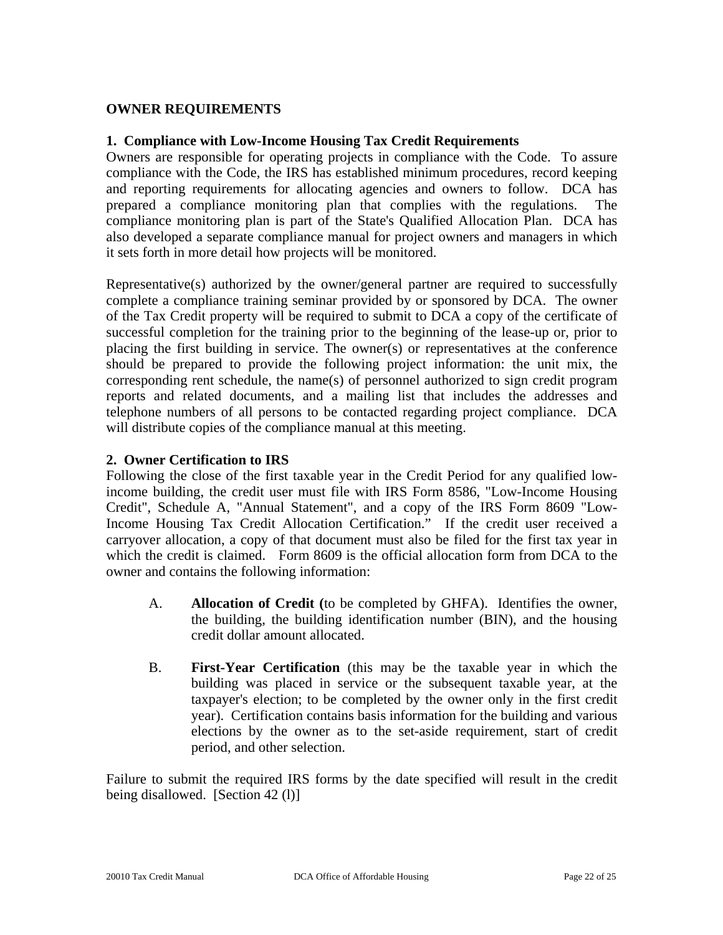## **OWNER REQUIREMENTS**

#### **1. Compliance with Low-Income Housing Tax Credit Requirements**

Owners are responsible for operating projects in compliance with the Code. To assure compliance with the Code, the IRS has established minimum procedures, record keeping and reporting requirements for allocating agencies and owners to follow. DCA has prepared a compliance monitoring plan that complies with the regulations. The compliance monitoring plan is part of the State's Qualified Allocation Plan. DCA has also developed a separate compliance manual for project owners and managers in which it sets forth in more detail how projects will be monitored.

Representative(s) authorized by the owner/general partner are required to successfully complete a compliance training seminar provided by or sponsored by DCA. The owner of the Tax Credit property will be required to submit to DCA a copy of the certificate of successful completion for the training prior to the beginning of the lease-up or, prior to placing the first building in service. The owner(s) or representatives at the conference should be prepared to provide the following project information: the unit mix, the corresponding rent schedule, the name(s) of personnel authorized to sign credit program reports and related documents, and a mailing list that includes the addresses and telephone numbers of all persons to be contacted regarding project compliance. DCA will distribute copies of the compliance manual at this meeting.

## **2. Owner Certification to IRS**

Following the close of the first taxable year in the Credit Period for any qualified lowincome building, the credit user must file with IRS Form 8586, "Low-Income Housing Credit", Schedule A, "Annual Statement", and a copy of the IRS Form 8609 "Low-Income Housing Tax Credit Allocation Certification." If the credit user received a carryover allocation, a copy of that document must also be filed for the first tax year in which the credit is claimed. Form 8609 is the official allocation form from DCA to the owner and contains the following information:

- A. **Allocation of Credit (**to be completed by GHFA). Identifies the owner, the building, the building identification number (BIN), and the housing credit dollar amount allocated.
- B. **First-Year Certification** (this may be the taxable year in which the building was placed in service or the subsequent taxable year, at the taxpayer's election; to be completed by the owner only in the first credit year). Certification contains basis information for the building and various elections by the owner as to the set-aside requirement, start of credit period, and other selection.

Failure to submit the required IRS forms by the date specified will result in the credit being disallowed. [Section 42 (1)]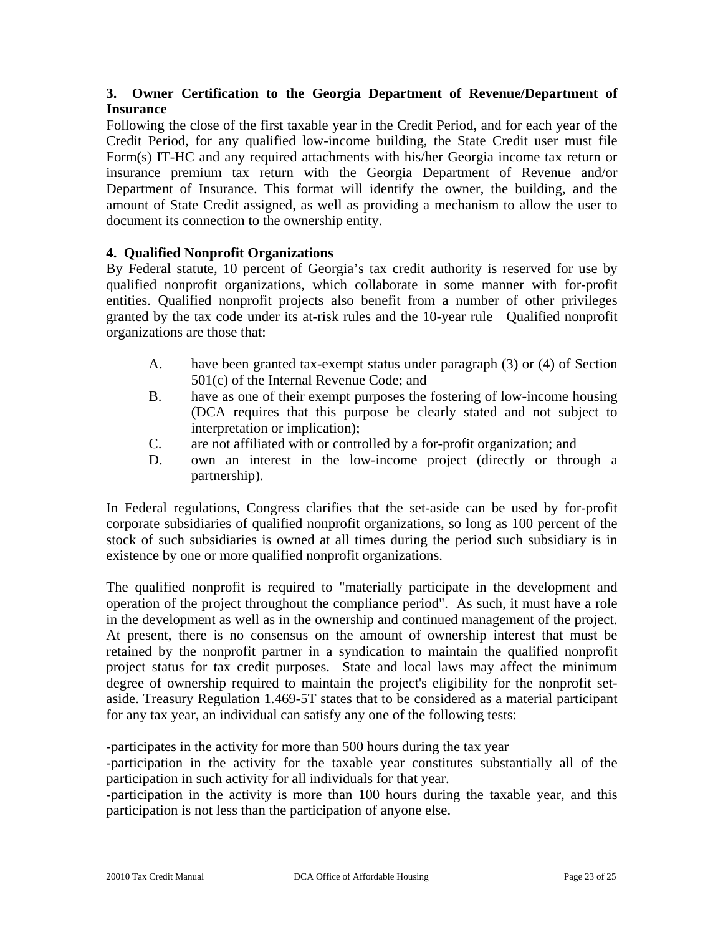# **3. Owner Certification to the Georgia Department of Revenue/Department of Insurance**

Following the close of the first taxable year in the Credit Period, and for each year of the Credit Period, for any qualified low-income building, the State Credit user must file Form(s) IT-HC and any required attachments with his/her Georgia income tax return or insurance premium tax return with the Georgia Department of Revenue and/or Department of Insurance. This format will identify the owner, the building, and the amount of State Credit assigned, as well as providing a mechanism to allow the user to document its connection to the ownership entity.

## **4. Qualified Nonprofit Organizations**

By Federal statute, 10 percent of Georgia's tax credit authority is reserved for use by qualified nonprofit organizations, which collaborate in some manner with for-profit entities. Qualified nonprofit projects also benefit from a number of other privileges granted by the tax code under its at-risk rules and the 10-year rule Qualified nonprofit organizations are those that:

- A. have been granted tax-exempt status under paragraph (3) or (4) of Section 501(c) of the Internal Revenue Code; and
- B. have as one of their exempt purposes the fostering of low-income housing (DCA requires that this purpose be clearly stated and not subject to interpretation or implication);
- C. are not affiliated with or controlled by a for-profit organization; and
- D. own an interest in the low-income project (directly or through a partnership).

In Federal regulations, Congress clarifies that the set-aside can be used by for-profit corporate subsidiaries of qualified nonprofit organizations, so long as 100 percent of the stock of such subsidiaries is owned at all times during the period such subsidiary is in existence by one or more qualified nonprofit organizations.

The qualified nonprofit is required to "materially participate in the development and operation of the project throughout the compliance period". As such, it must have a role in the development as well as in the ownership and continued management of the project. At present, there is no consensus on the amount of ownership interest that must be retained by the nonprofit partner in a syndication to maintain the qualified nonprofit project status for tax credit purposes. State and local laws may affect the minimum degree of ownership required to maintain the project's eligibility for the nonprofit setaside. Treasury Regulation 1.469-5T states that to be considered as a material participant for any tax year, an individual can satisfy any one of the following tests:

-participates in the activity for more than 500 hours during the tax year

-participation in the activity for the taxable year constitutes substantially all of the participation in such activity for all individuals for that year.

-participation in the activity is more than 100 hours during the taxable year, and this participation is not less than the participation of anyone else.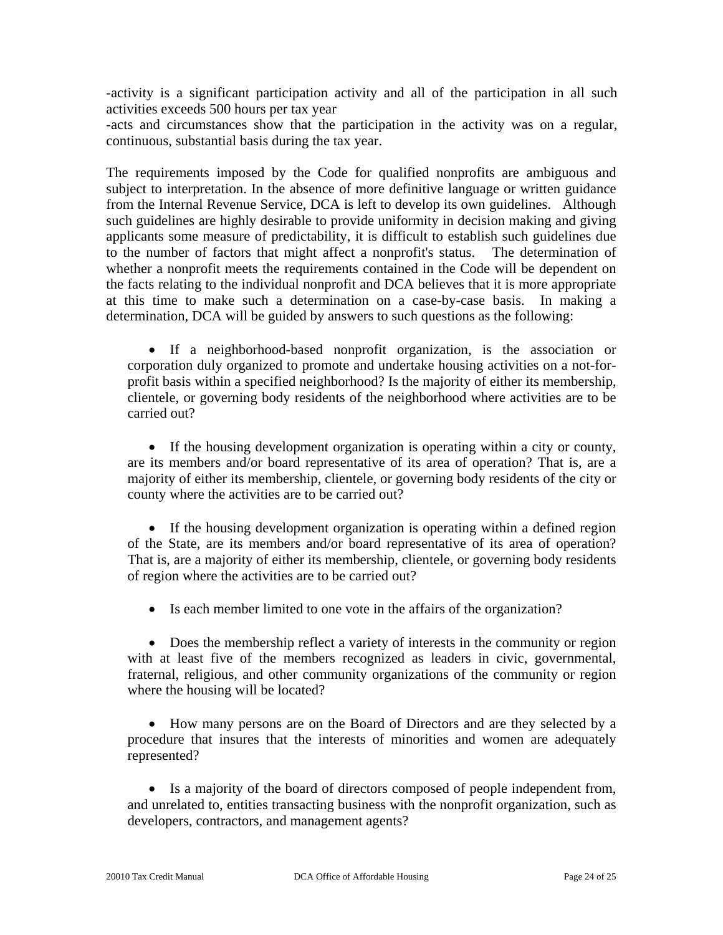-activity is a significant participation activity and all of the participation in all such activities exceeds 500 hours per tax year

-acts and circumstances show that the participation in the activity was on a regular, continuous, substantial basis during the tax year.

The requirements imposed by the Code for qualified nonprofits are ambiguous and subject to interpretation. In the absence of more definitive language or written guidance from the Internal Revenue Service, DCA is left to develop its own guidelines. Although such guidelines are highly desirable to provide uniformity in decision making and giving applicants some measure of predictability, it is difficult to establish such guidelines due to the number of factors that might affect a nonprofit's status. The determination of whether a nonprofit meets the requirements contained in the Code will be dependent on the facts relating to the individual nonprofit and DCA believes that it is more appropriate at this time to make such a determination on a case-by-case basis. In making a determination, DCA will be guided by answers to such questions as the following:

• If a neighborhood-based nonprofit organization, is the association or corporation duly organized to promote and undertake housing activities on a not-forprofit basis within a specified neighborhood? Is the majority of either its membership, clientele, or governing body residents of the neighborhood where activities are to be carried out?

• If the housing development organization is operating within a city or county, are its members and/or board representative of its area of operation? That is, are a majority of either its membership, clientele, or governing body residents of the city or county where the activities are to be carried out?

• If the housing development organization is operating within a defined region of the State, are its members and/or board representative of its area of operation? That is, are a majority of either its membership, clientele, or governing body residents of region where the activities are to be carried out?

• Is each member limited to one vote in the affairs of the organization?

• Does the membership reflect a variety of interests in the community or region with at least five of the members recognized as leaders in civic, governmental, fraternal, religious, and other community organizations of the community or region where the housing will be located?

• How many persons are on the Board of Directors and are they selected by a procedure that insures that the interests of minorities and women are adequately represented?

• Is a majority of the board of directors composed of people independent from, and unrelated to, entities transacting business with the nonprofit organization, such as developers, contractors, and management agents?